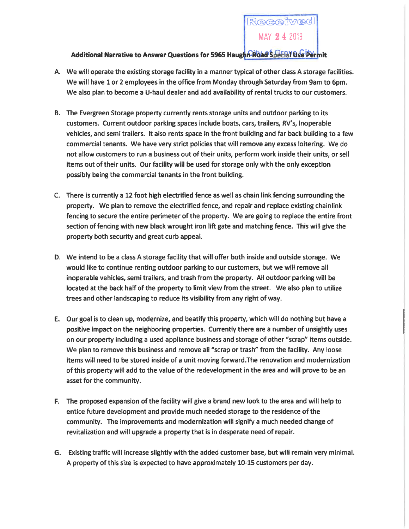# Received MAY 24 2019

#### Additional Narrative to Answer Questions for 5965 Haughn Road Special Use Permit

- A. We will operate the existing storage facility in a manner typical of other class A storage facilities. We will have 1 or 2 employees in the office from Monday through Saturday from 9am to 6pm. We also plan to become a U-haul dealer and add availability of rental trucks to our customers.
- B. The Evergreen Storage property currently rents storage units and outdoor parking to its customers. Current outdoor parking spaces include boats, cars, trailers, RV's, inoperable vehicles, and semi trailers. It also rents space in the front building and far back building to a few commercial tenants. We have very strict policies that will remove any excess loitering. We do not allow customers to run a business out of their units, perform work inside their units, or sell items out of their units. Our facility will be used for storage only with the only exception possibly being the commercial tenants in the front building.
- C. There is currently a 12 foot high electrified fence as well as chain link fencing surrounding the property. We plan to remove the electrified fence, and repair and replace existing chainlink fencing to secure the entire perimeter of the property. We are going to replace the entire front section of fencing with new black wrought iron lift gate and matching fence. This will give the property both security and great curb appeal.
- D. We intend to be a class A storage facility that will offer both inside and outside storage. We would like to continue renting outdoor parking to our customers, but we will remove all inoperable vehicles, semi trailers, and trash from the property. All outdoor parking will be located at the back half of the property to limit view from the street. We also plan to utilize trees and other landscaping to reduce its visibility from any right of way.
- E. Our goal is to clean up, modernize, and beatify this property, which will do nothing but have a positive impact on the neighboring properties. Currently there are a number of unsightly uses on our property including a used appliance business and storage of other "scrap" items outside. We plan to remove this business and remove all "scrap or trash" from the facility. Any loose items will need to be stored inside of a unit moving forward. The renovation and modernization of this property will add to the value of the redevelopment in the area and will prove to be an asset for the community.
- F. The proposed expansion of the facility will give a brand new look to the area and will help to entice future development and provide much needed storage to the residence of the community. The improvements and modernization will signify a much needed change of revitalization and will upgrade a property that is in desperate need of repair.
- G. Existing traffic will increase slightly with the added customer base, but will remain very minimal. A property of this size is expected to have approximately 10-15 customers per day.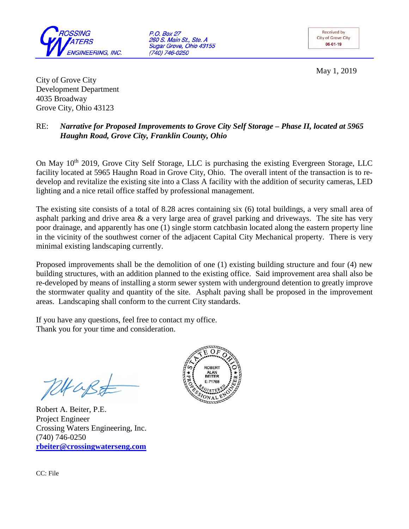

P.O. Box 27 260 S. Main St., Ste. A Sugar Grove, Ohio 43155 (740) 746-0250



May 1, 2019

City of Grove City Development Department 4035 Broadway Grove City, Ohio 43123

### RE: *Narrative for Proposed Improvements to Grove City Self Storage – Phase II, located at 5965 Haughn Road, Grove City, Franklin County, Ohio*

On May 10<sup>th</sup> 2019, Grove City Self Storage, LLC is purchasing the existing Evergreen Storage, LLC facility located at 5965 Haughn Road in Grove City, Ohio. The overall intent of the transaction is to redevelop and revitalize the existing site into a Class A facility with the addition of security cameras, LED lighting and a nice retail office staffed by professional management.

The existing site consists of a total of 8.28 acres containing six (6) total buildings, a very small area of asphalt parking and drive area & a very large area of gravel parking and driveways. The site has very poor drainage, and apparently has one (1) single storm catchbasin located along the eastern property line in the vicinity of the southwest corner of the adjacent Capital City Mechanical property. There is very minimal existing landscaping currently.

Proposed improvements shall be the demolition of one (1) existing building structure and four (4) new building structures, with an addition planned to the existing office. Said improvement area shall also be re-developed by means of installing a storm sewer system with underground detention to greatly improve the stormwater quality and quantity of the site. Asphalt paving shall be proposed in the improvement areas. Landscaping shall conform to the current City standards.

If you have any questions, feel free to contact my office. Thank you for your time and consideration.

DHUB

Robert A. Beiter, P.E. Project Engineer Crossing Waters Engineering, Inc. (740) 746-0250 **[rbeiter@crossingwaterseng.com](mailto:rbeiter@crossingwaterseng.com)**



CC: File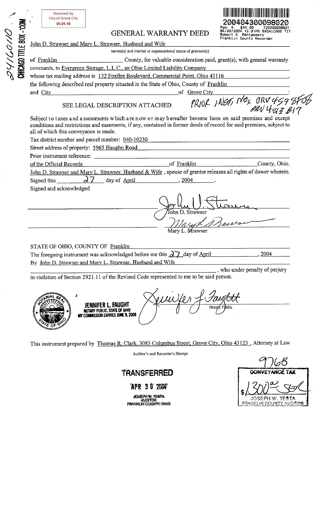|                         | Received by<br><b>City of Grove City</b>                                                                                                                                                                                                                                   |
|-------------------------|----------------------------------------------------------------------------------------------------------------------------------------------------------------------------------------------------------------------------------------------------------------------------|
| CHICAGO TITLE BOX - COM | :004043000980<br>05-01-19<br>\$44.00<br>-4<br>T20040038821<br>04/30/2004 12:01PM BXCHICAGO TIT                                                                                                                                                                             |
|                         | <b>GENERAL WARRANTY DEED</b><br>Robert G. Montgomery<br>Franklin County Recorder                                                                                                                                                                                           |
| ۱۱۵۵۱۱                  | John D. Strawser and Mary L. Strawser, Husband and Wife<br>names(s) and marital or organizational status of grantors(s)                                                                                                                                                    |
|                         | of Franklin<br>County, for valuable consideration paid, grant(s), with general warranty                                                                                                                                                                                    |
|                         | covenants, to Evergreen Storage, L.L.C., an Ohio Limited Liability Company                                                                                                                                                                                                 |
|                         | whose tax mailing address is 132 Foxfire Boulevard, Commercial Point, Ohio 43116                                                                                                                                                                                           |
|                         | the following described real property situated in the State of Ohio, County of Franklin                                                                                                                                                                                    |
|                         | of Grove City<br>and City                                                                                                                                                                                                                                                  |
|                         | PRIOR INSTITUTES ORV 4599<br>SEE LEGAL DESCRIPTION ATTACHED                                                                                                                                                                                                                |
|                         | Subject to taxes and a ssessments which are now or may hereafter become liens on said premises and except<br>conditions and restrictions and easements, if any, contained in former deeds of record for said premises, subject to<br>all of which this conveyance is made. |
|                         | Tax district number and parcel number: 040-10230                                                                                                                                                                                                                           |
|                         | Street address of property: 5965 Haughn Road                                                                                                                                                                                                                               |
|                         | Prior instrument reference:<br><b>Example 1</b> of Franklin<br>County, Ohio.<br>of the Official Records                                                                                                                                                                    |
|                         | John D. Strawser and Mary L. Strawser, Husband & Wife, spouse of grantor releases all rights of dower wherein.                                                                                                                                                             |
|                         | 27<br>day of April<br>2004<br>Signed this                                                                                                                                                                                                                                  |
|                         | Signed and acknowledged                                                                                                                                                                                                                                                    |
|                         |                                                                                                                                                                                                                                                                            |
|                         | John D. Strawser                                                                                                                                                                                                                                                           |
|                         |                                                                                                                                                                                                                                                                            |
|                         | Mary L. Strawser                                                                                                                                                                                                                                                           |
|                         | STATE OF OHIO, COUNTY OF Franklin                                                                                                                                                                                                                                          |
|                         | The foregoing instrument was acknowledged before me this $\frac{\lambda}{2}$ day of April<br>2004                                                                                                                                                                          |
|                         | By John D. Strawser and Mary L. Strawser, Husband and Wife                                                                                                                                                                                                                 |
|                         | , who under penalty of perjury                                                                                                                                                                                                                                             |
|                         | in violation of Section 2921.11 of the Revised Code represented to me to be said person.                                                                                                                                                                                   |
|                         | MY COMMISSION EXPIRES JUNE 9, 2008                                                                                                                                                                                                                                         |
|                         |                                                                                                                                                                                                                                                                            |
|                         | This instrument prepared by Thomas R. Clark, 3083 Columbus Street, Grove City, Ohio 43123, Attorney at Law                                                                                                                                                                 |
|                         | Auditor's and Recorder's Stamps                                                                                                                                                                                                                                            |
|                         | CONVEYANCE TAX<br>TRANSFERRED                                                                                                                                                                                                                                              |
|                         | <b>APR 30 2004</b>                                                                                                                                                                                                                                                         |

JOSEPH W. TERTA<br>AUDITOR<br>PRANNAN COUNTY, WHIMB

S 300 SEPH W. TESTA

Ł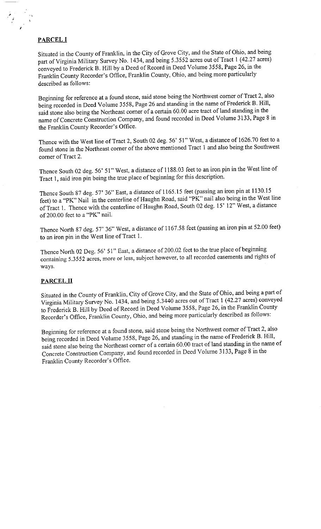#### **PARCEL I**

Situated in the County of Franklin, in the City of Grove City, and the State of Ohio, and being part of Virginia Military Survey No. 1434, and being 5.3552 acres out of Tract 1 (42.27 acres) conveyed to Frederick B. Hill by a Deed of Record in Deed Volume 3558, Page 26, in the Franklin County Recorder's Office, Franklin County, Ohio, and being more particularly described as follows:

Beginning for reference at a found stone, said stone being the Northwest corner of Tract 2, also being recorded in Deed Volume 3558, Page 26 and standing in the name of Frederick B. Hill, said stone also being the Northeast corner of a certain 60.00 acre tract of land standing in the name of Concrete Construction Company, and found recorded in Deed Volume 3133, Page 8 in the Franklin County Recorder's Office.

Thence with the West line of Tract 2, South 02 deg. 56' 51" West, a distance of 1626.70 feet to a found stone in the Northeast corner of the above mentioned Tract 1 and also being the Southwest corner of Tract 2.

Thence South 02 deg. 56' 51" West, a distance of 1188.03 feet to an iron pin in the West line of Tract 1, said iron pin being the true place of beginning for this description.

Thence South 87 deg. 57' 36" East, a distance of 1165.15 feet (passing an iron pin at 1130.15 feet) to a "PK" Nail in the centerline of Haughn Road, said "PK" nail also being in the West line of Tract 1. Thence with the centerline of Haughn Road, South 02 deg. 15' 12" West, a distance of 200.00 feet to a "PK" nail.

Thence North 87 deg. 57' 36" West, a distance of 1167.58 feet (passing an iron pin at 52.00 feet) to an iron pin in the West line of Tract 1.

Thence North 02 Deg. 56' 51" East, a distance of 200.02 feet to the true place of beginning containing 5.3552 acres, more or less, subject however, to all recorded easements and rights of ways.

## PARCEL II

Situated in the County of Franklin, City of Grove City, and the State of Ohio, and being a part of Virginia Military Survey No. 1434, and being 5.3440 acres out of Tract 1 (42.27 acres) conveyed to Frederick B. Hill by Deed of Record in Deed Volume 3558, Page 26, in the Franklin County Recorder's Office, Franklin County, Ohio, and being more particularly described as follows:

Beginning for reference at a found stone, said stone being the Northwest corner of Tract 2, also being recorded in Deed Volume 3558, Page 26, and standing in the name of Frederick B. Hill, said stone also being the Northeast corner of a certain 60.00 tract of land standing in the name of Concrete Construction Company, and found recorded in Deed Volume 3133, Page 8 in the Franklin County Recorder's Office.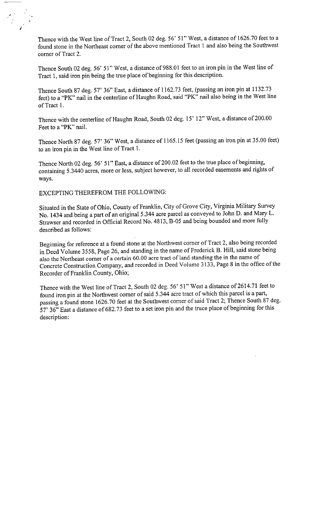Thence with the West line of Tract 2, South 02 deg. 56' 51" West, a distance of 1626.70 feet to a found stone in the Northeast corner of the above mentioned Tract 1 and also being the Southwest corner of Tract 2.

Thence South 02 deg. 56' 51" West, a distance of 988.01 feet to an iron pin in the West line of Tract 1, said iron pin being the true place of beginning for this description.

Thence South 87 deg. 57' 36" East, a distance of 1162.73 feet, (passing an iron pin at 1132.73 feet) to a "PK" nail in the centerline of Haughn Road, said "PK" nail also being in the West line of Tract 1.

Thence with the centerline of Haughn Road, South 02 deg. 15' 12" West, a distance of 200.00 Feet to a "PK" nail.

Thence North 87 deg. 57' 36" West, a distance of 1165.15 feet (passing an iron pin at 35.00 feet) to an iron pin in the West line of Tract 1.

Thence North 02 deg. 56' 51" East, a distance of 200.02 feet to the true place of beginning, containing 5.3440 acres, more or less, subject however, to all recorded easements and rights of ways.

EXCEPTING THEREFROM THE FOLLOWING:

Situated in the State of Ohio, County of Franklin, City of Grove City, Virginia Military Survey No. 1434 and being a part of an original 5.344 acre parcel as conveyed to John D. and Mary L. Strawser and recorded in Official Record No. 4813, B-05 and being bounded and more fully described as follows:

Beginning for reference at a found stone at the Northwest corner of Tract 2, also being recorded in Deed Volume 3558, Page 26, and standing in the name of Frederick B. Hill, said stone being also the Northeast corner of a certain 60.00 acre tract of land standing the in the name of Concrete Construction Company, and recorded in Deed Volume 3133, Page 8 in the office of the Recorder of Franklin County, Ohio;

Thence with the West line of Tract 2, South 02 deg. 56' 51" West a distance of 2614.71 feet to found iron pin at the Northwest corner of said 5.344 acre tract of which this parcel is a part, passing a found stone 1626.70 feet at the Southwest corner of said Tract 2; Thence South 87 deg. 57' 36" East a distance of 682.73 feet to a set iron pin and the truce place of beginning for this description: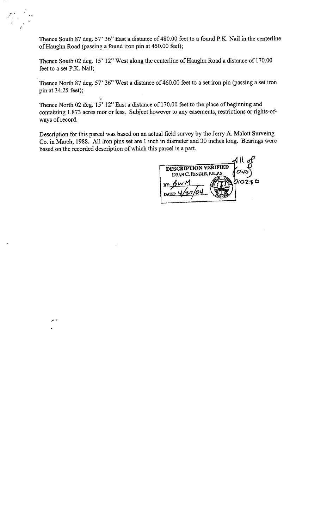Thence South 87 deg. 57' 36" East a distance of 480.00 feet to a found P.K. Nail in the centerline of Haughn Road (passing a found iron pin at 450.00 feet);

Thence South 02 deg. 15' 12" West along the centerline of Haughn Road a distance of 170.00 feet to a set P.K. Nail;

Thence North 87 deg. 57' 36" West a distance of 460.00 feet to a set iron pin (passing a set iron pin at 34.25 feet);

Thence North 02 deg. 15' 12" East a distance of 170.00 feet to the place of beginning and containing 1.873 acres mor or less. Subject however to any easements, restrictions or rights-ofways of record.

Description for this parcel was based on an actual field survey by the Jerry A. Malott Surveing Co. in March, 1988. All iron pins set are 1 inch in diameter and 30 inches long. Bearings were based on the recorded description of which this parcel is a part.

**DESCRIPTION VERIFIED** DEAN C. RINGLE, P.E. 0230  $BY.$  $\beta$ DATE: